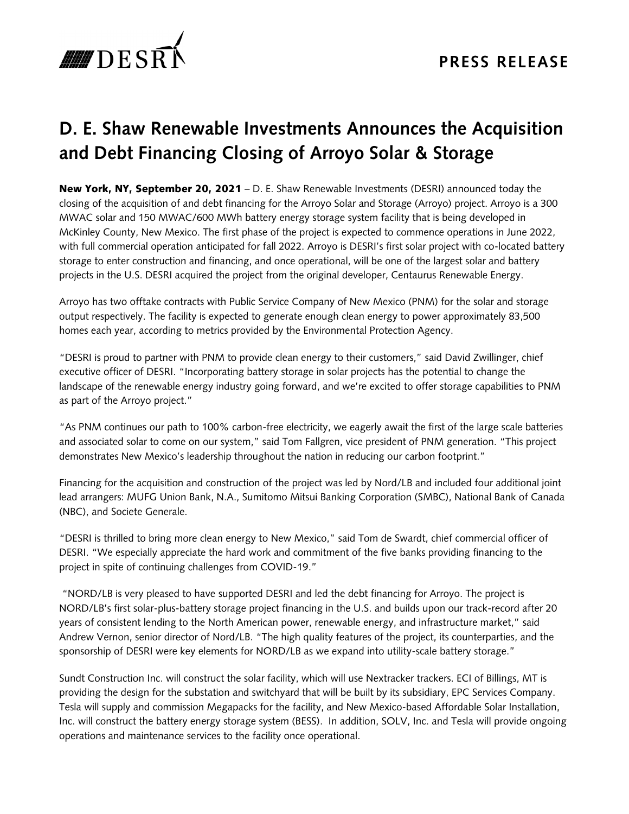

## **D. E. Shaw Renewable Investments Announces the Acquisition and Debt Financing Closing of Arroyo Solar & Storage**

New York, NY, September 20, 2021 – D. E. Shaw Renewable Investments (DESRI) announced today the closing of the acquisition of and debt financing for the Arroyo Solar and Storage (Arroyo) project. Arroyo is a 300 MWAC solar and 150 MWAC/600 MWh battery energy storage system facility that is being developed in McKinley County, New Mexico. The first phase of the project is expected to commence operations in June 2022, with full commercial operation anticipated for fall 2022. Arroyo is DESRI's first solar project with co-located battery storage to enter construction and financing, and once operational, will be one of the largest solar and battery projects in the U.S. DESRI acquired the project from the original developer, Centaurus Renewable Energy.

Arroyo has two offtake contracts with Public Service Company of New Mexico (PNM) for the solar and storage output respectively. The facility is expected to generate enough clean energy to power approximately 83,500 homes each year, according to metrics provided by the Environmental Protection Agency.

"DESRI is proud to partner with PNM to provide clean energy to their customers," said David Zwillinger, chief executive officer of DESRI. "Incorporating battery storage in solar projects has the potential to change the landscape of the renewable energy industry going forward, and we're excited to offer storage capabilities to PNM as part of the Arroyo project."

"As PNM continues our path to 100% carbon-free electricity, we eagerly await the first of the large scale batteries and associated solar to come on our system," said Tom Fallgren, vice president of PNM generation. "This project demonstrates New Mexico's leadership throughout the nation in reducing our carbon footprint."

Financing for the acquisition and construction of the project was led by Nord/LB and included four additional joint lead arrangers: MUFG Union Bank, N.A., Sumitomo Mitsui Banking Corporation (SMBC), National Bank of Canada (NBC), and Societe Generale.

"DESRI is thrilled to bring more clean energy to New Mexico," said Tom de Swardt, chief commercial officer of DESRI. "We especially appreciate the hard work and commitment of the five banks providing financing to the project in spite of continuing challenges from COVID-19."

 "NORD/LB is very pleased to have supported DESRI and led the debt financing for Arroyo. The project is NORD/LB's first solar-plus-battery storage project financing in the U.S. and builds upon our track-record after 20 years of consistent lending to the North American power, renewable energy, and infrastructure market," said Andrew Vernon, senior director of Nord/LB. "The high quality features of the project, its counterparties, and the sponsorship of DESRI were key elements for NORD/LB as we expand into utility-scale battery storage."

Sundt Construction Inc. will construct the solar facility, which will use Nextracker trackers. ECI of Billings, MT is providing the design for the substation and switchyard that will be built by its subsidiary, EPC Services Company. Tesla will supply and commission Megapacks for the facility, and New Mexico-based Affordable Solar Installation, Inc. will construct the battery energy storage system (BESS). In addition, SOLV, Inc. and Tesla will provide ongoing operations and maintenance services to the facility once operational.